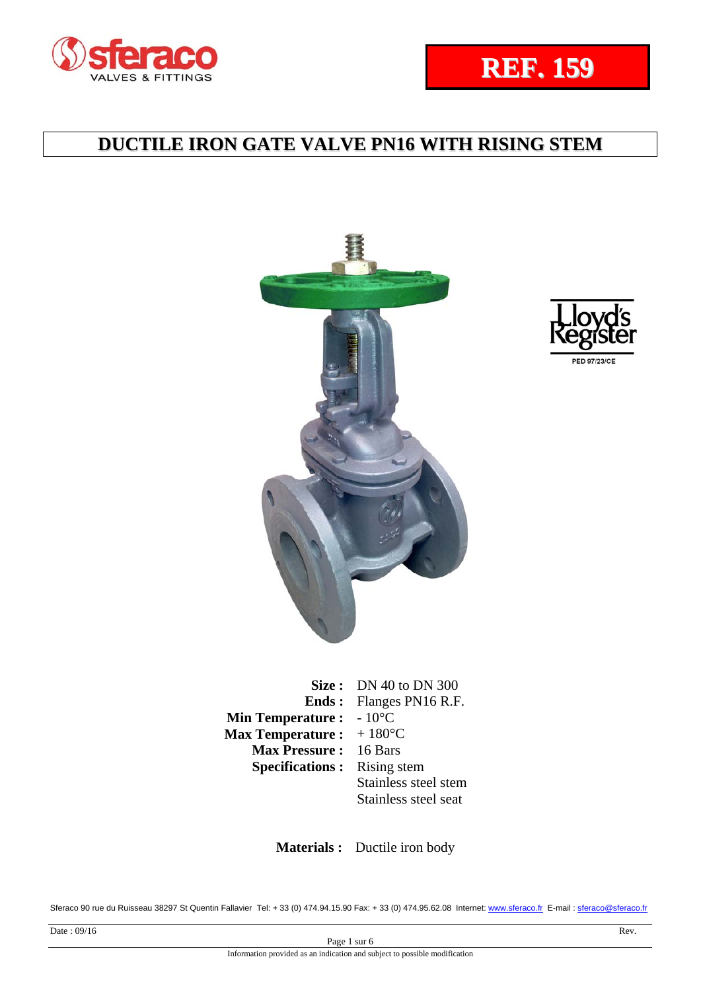



**Size :** DN 40 to DN 300 **Ends : Min Temperature : Max Temperature :**  Flanges PN16 R.F.  $-10^{\circ}$ C  $+ 180$ °C **Max Pressure :** 16 Bars **Specifications :** Rising stem Stainless steel stem Stainless steel seat

 **Materials :** Ductile iron body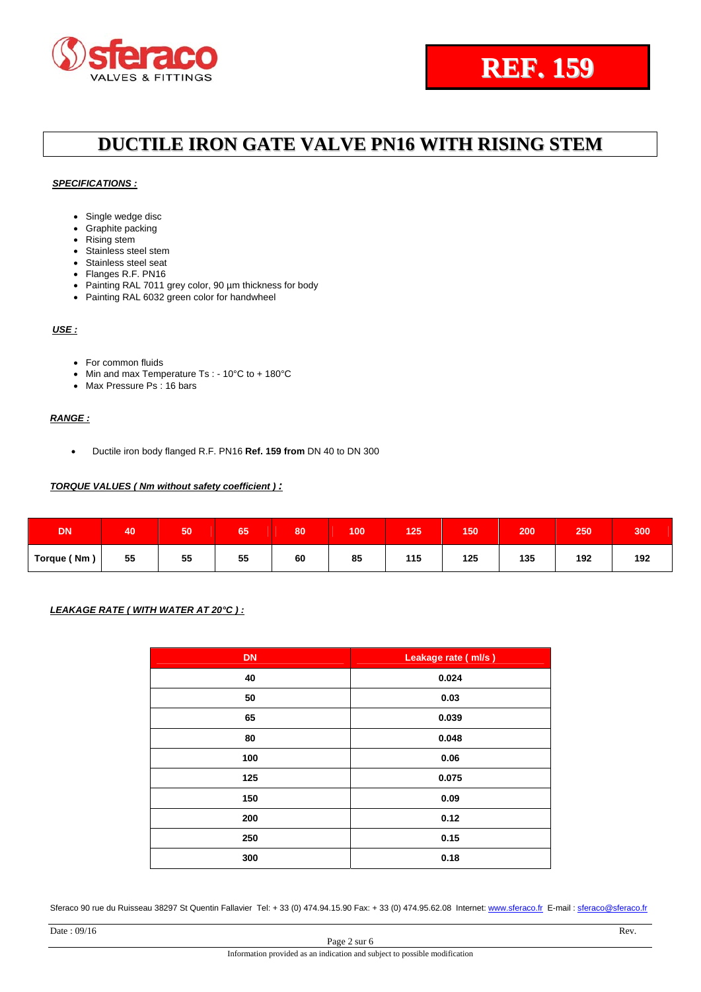#### *SPECIFICATIONS :*

- Single wedge disc
- Graphite packing
- Rising stem
- Stainless steel stem
- Stainless steel seat
- Flanges R.F. PN16
- Painting RAL 7011 grey color, 90 µm thickness for body
- Painting RAL 6032 green color for handwheel

### *USE :*

- For common fluids
- Min and max Temperature Ts :  $10^{\circ}$ C to +  $180^{\circ}$ C
- Max Pressure Ps : 16 bars

### *RANGE :*

Ductile iron body flanged R.F. PN16 **Ref. 159 from** DN 40 to DN 300

### *TORQUE VALUES ( Nm without safety coefficient ) :*

| <b>DN</b>   | 40 | 50 | 65 | 80 | 100 | 125 | 150 | 200 | 250 | 300 |
|-------------|----|----|----|----|-----|-----|-----|-----|-----|-----|
| Torque (Nm) | 55 | 55 | 55 | 60 | 85  | 115 | 125 | 135 | 192 | 192 |

### *LEAKAGE RATE ( WITH WATER AT 20°C ) :*

| <b>DN</b> | Leakage rate (ml/s) |
|-----------|---------------------|
| 40        | 0.024               |
| 50        | 0.03                |
| 65        | 0.039               |
| 80        | 0.048               |
| 100       | 0.06                |
| 125       | 0.075               |
| 150       | 0.09                |
| 200       | 0.12                |
| 250       | 0.15                |
| 300       | 0.18                |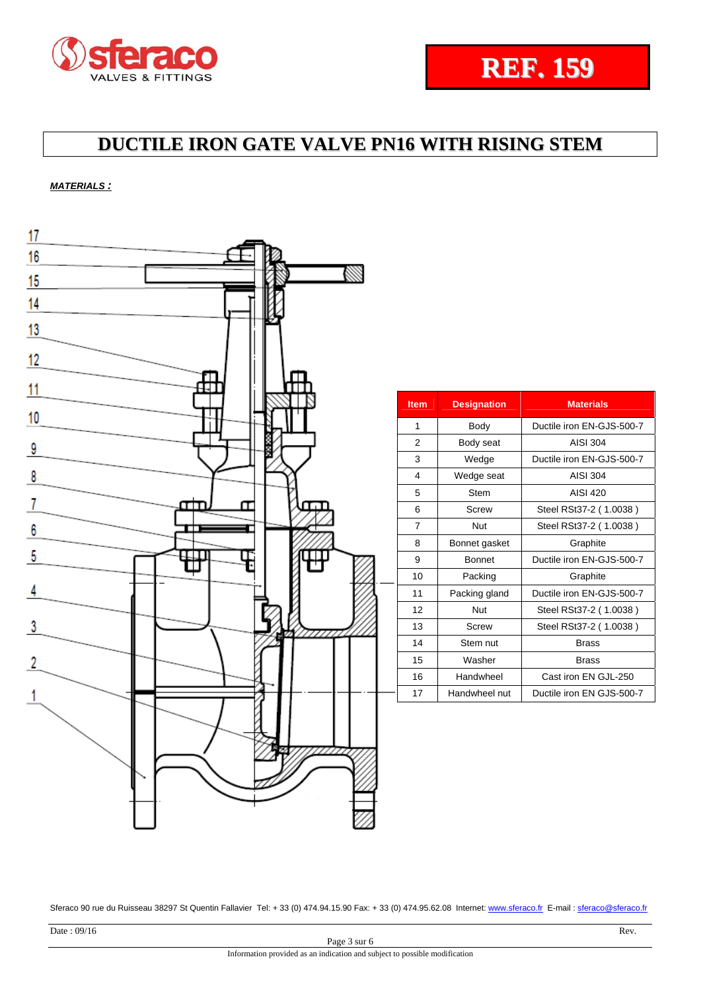### *MATERIALS :*

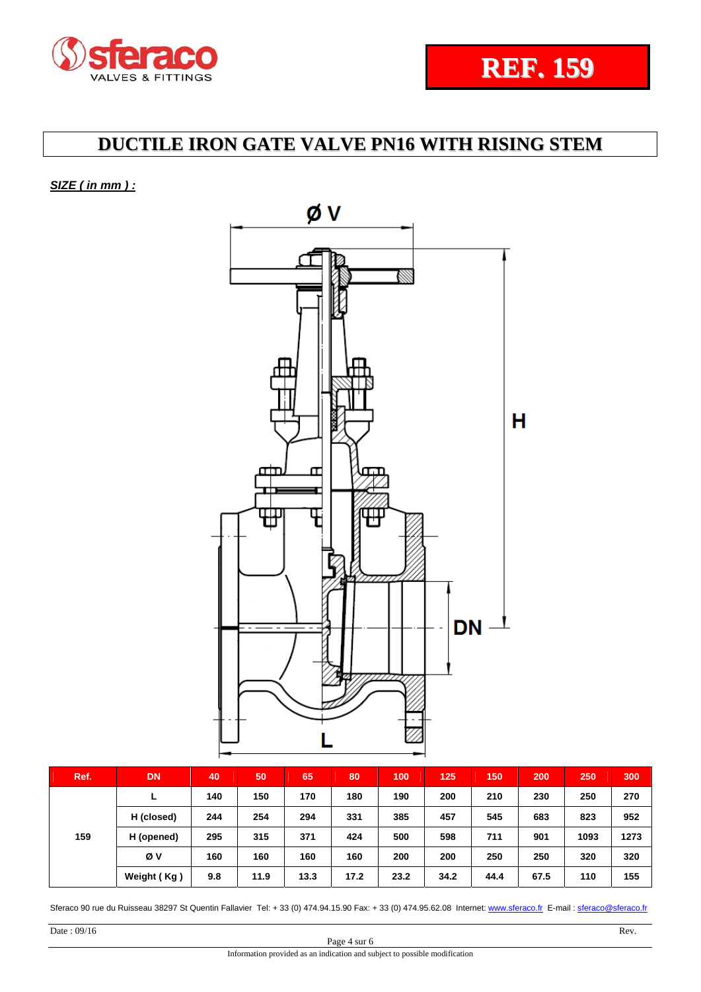## *SIZE ( in mm ) :*



|     | Ref.       | <b>DN</b>   | 40  | 50   | 65   | 80   | 100  | 125  | 150  | 200  | 250  | 300  |
|-----|------------|-------------|-----|------|------|------|------|------|------|------|------|------|
| 159 | L          | 140         | 150 | 170  | 180  | 190  | 200  | 210  | 230  | 250  | 270  |      |
|     | H (closed) | 244         | 254 | 294  | 331  | 385  | 457  | 545  | 683  | 823  | 952  |      |
|     |            | H (opened)  | 295 | 315  | 371  | 424  | 500  | 598  | 711  | 901  | 1093 | 1273 |
|     |            | Øν          | 160 | 160  | 160  | 160  | 200  | 200  | 250  | 250  | 320  | 320  |
|     |            | Weight (Kg) | 9.8 | 11.9 | 13.3 | 17.2 | 23.2 | 34.2 | 44.4 | 67.5 | 110  | 155  |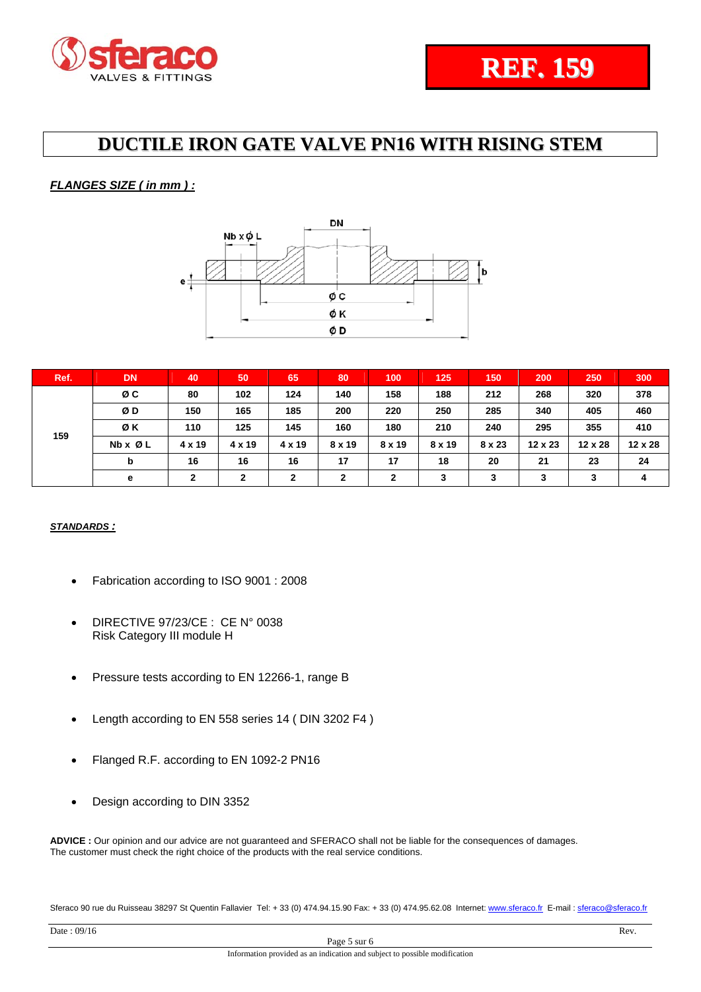## *FLANGES SIZE ( in mm ) :*



| Ref. | <b>DN</b>               | 40             | 50             | 65            | 80            | 100           | 125           | 150           | 200            | 250            | 300            |
|------|-------------------------|----------------|----------------|---------------|---------------|---------------|---------------|---------------|----------------|----------------|----------------|
| 159  | øс                      | 80             | 102            | 124           | 140           | 158           | 188           | 212           | 268            | 320            | 378            |
|      | ØD                      | 150            | 165            | 185           | 200           | 220           | 250           | 285           | 340            | 405            | 460            |
|      | ØΚ                      | 110            | 125            | 145           | 160           | 180           | 210           | 240           | 295            | 355            | 410            |
|      | $Nb \times \emptyset$ L | 4 x 19         | $4 \times 19$  | $4 \times 19$ | $8 \times 19$ | $8 \times 19$ | $8 \times 19$ | $8 \times 23$ | $12 \times 23$ | $12 \times 28$ | $12 \times 28$ |
|      | b                       | 16             | 16             | 16            | 17            | 17            | 18            | 20            | 21             | 23             | 24             |
|      | е                       | $\overline{2}$ | $\overline{2}$ | $\mathbf{2}$  | $\mathbf{2}$  | $\mathbf{2}$  | 3             | 3             | 3              | 3              | 4              |

## *STANDARDS :*

- Fabrication according to ISO 9001 : 2008
- DIRECTIVE 97/23/CE : CE N° 0038 Risk Category III module H
- Pressure tests according to EN 12266-1, range B
- Length according to EN 558 series 14 ( DIN 3202 F4 )
- Flanged R.F. according to EN 1092-2 PN16
- Design according to DIN 3352